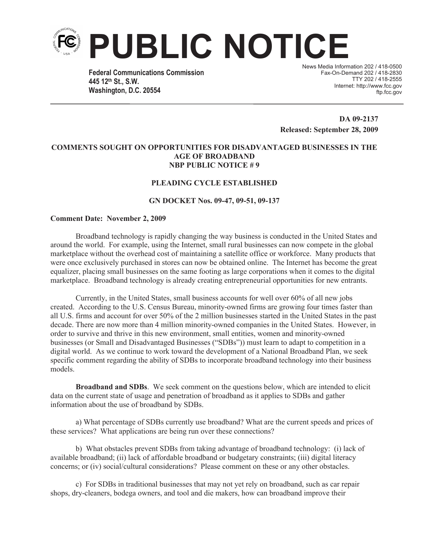

**Federal Communications Commission 445 12th St., S.W. Washington, D.C. 20554**

News Media Information 202 / 418-0500 Fax-On-Demand 202 / 418-2830 TTY 202 / 418-2555 Internet: http://www.fcc.gov ftp.fcc.gov

**DA 09-2137 Released: September 28, 2009** 

### **COMMENTS SOUGHT ON OPPORTUNITIES FOR DISADVANTAGED BUSINESSES IN THE AGE OF BROADBAND NBP PUBLIC NOTICE # 9**

## **PLEADING CYCLE ESTABLISHED**

### **GN DOCKET Nos. 09-47, 09-51, 09-137**

#### **Comment Date: November 2, 2009**

Broadband technology is rapidly changing the way business is conducted in the United States and around the world. For example, using the Internet, small rural businesses can now compete in the global marketplace without the overhead cost of maintaining a satellite office or workforce. Many products that were once exclusively purchased in stores can now be obtained online. The Internet has become the great equalizer, placing small businesses on the same footing as large corporations when it comes to the digital marketplace. Broadband technology is already creating entrepreneurial opportunities for new entrants.

Currently, in the United States, small business accounts for well over 60% of all new jobs created. According to the U.S. Census Bureau, minority-owned firms are growing four times faster than all U.S. firms and account for over 50% of the 2 million businesses started in the United States in the past decade. There are now more than 4 million minority-owned companies in the United States. However, in order to survive and thrive in this new environment, small entities, women and minority-owned businesses (or Small and Disadvantaged Businesses ("SDBs")) must learn to adapt to competition in a digital world. As we continue to work toward the development of a National Broadband Plan, we seek specific comment regarding the ability of SDBs to incorporate broadband technology into their business models.

**Broadband and SDBs**. We seek comment on the questions below, which are intended to elicit data on the current state of usage and penetration of broadband as it applies to SDBs and gather information about the use of broadband by SDBs.

a) What percentage of SDBs currently use broadband? What are the current speeds and prices of these services? What applications are being run over these connections?

b) What obstacles prevent SDBs from taking advantage of broadband technology: (i) lack of available broadband; (ii) lack of affordable broadband or budgetary constraints; (iii) digital literacy concerns; or (iv) social/cultural considerations? Please comment on these or any other obstacles.

c) For SDBs in traditional businesses that may not yet rely on broadband, such as car repair shops, dry-cleaners, bodega owners, and tool and die makers, how can broadband improve their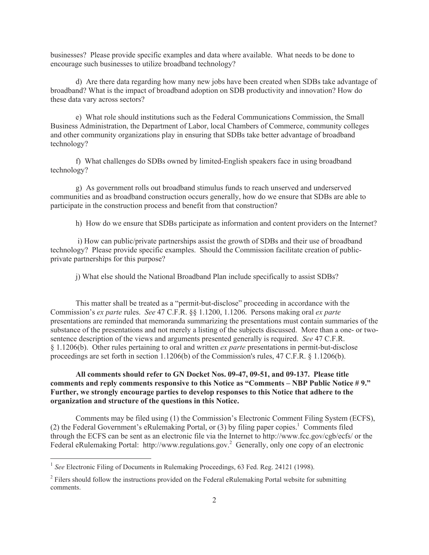businesses? Please provide specific examples and data where available. What needs to be done to encourage such businesses to utilize broadband technology?

d) Are there data regarding how many new jobs have been created when SDBs take advantage of broadband? What is the impact of broadband adoption on SDB productivity and innovation? How do these data vary across sectors?

e) What role should institutions such as the Federal Communications Commission, the Small Business Administration, the Department of Labor, local Chambers of Commerce, community colleges and other community organizations play in ensuring that SDBs take better advantage of broadband technology?

f) What challenges do SDBs owned by limited-English speakers face in using broadband technology?

g) As government rolls out broadband stimulus funds to reach unserved and underserved communities and as broadband construction occurs generally, how do we ensure that SDBs are able to participate in the construction process and benefit from that construction?

h) How do we ensure that SDBs participate as information and content providers on the Internet?

i) How can public/private partnerships assist the growth of SDBs and their use of broadband technology? Please provide specific examples. Should the Commission facilitate creation of publicprivate partnerships for this purpose?

j) What else should the National Broadband Plan include specifically to assist SDBs?

This matter shall be treated as a "permit-but-disclose" proceeding in accordance with the Commission's *ex parte* rules. *See* 47 C.F.R. §§ 1.1200, 1.1206. Persons making oral *ex parte* presentations are reminded that memoranda summarizing the presentations must contain summaries of the substance of the presentations and not merely a listing of the subjects discussed. More than a one- or twosentence description of the views and arguments presented generally is required. *See* 47 C.F.R. § 1.1206(b). Other rules pertaining to oral and written *ex parte* presentations in permit-but-disclose proceedings are set forth in section 1.1206(b) of the Commission's rules, 47 C.F.R. § 1.1206(b).

# **All comments should refer to GN Docket Nos. 09-47, 09-51, and 09-137. Please title comments and reply comments responsive to this Notice as "Comments – NBP Public Notice # 9." Further, we strongly encourage parties to develop responses to this Notice that adhere to the organization and structure of the questions in this Notice.**

Comments may be filed using (1) the Commission's Electronic Comment Filing System (ECFS), (2) the Federal Government's eRulemaking Portal, or (3) by filing paper copies.<sup>1</sup> Comments filed through the ECFS can be sent as an electronic file via the Internet to http://www.fcc.gov/cgb/ecfs/ or the Federal eRulemaking Portal: http://www.regulations.gov.<sup>2</sup> Generally, only one copy of an electronic

<sup>&</sup>lt;sup>1</sup> See Electronic Filing of Documents in Rulemaking Proceedings, 63 Fed. Reg. 24121 (1998).

 $2$  Filers should follow the instructions provided on the Federal eRulemaking Portal website for submitting comments.